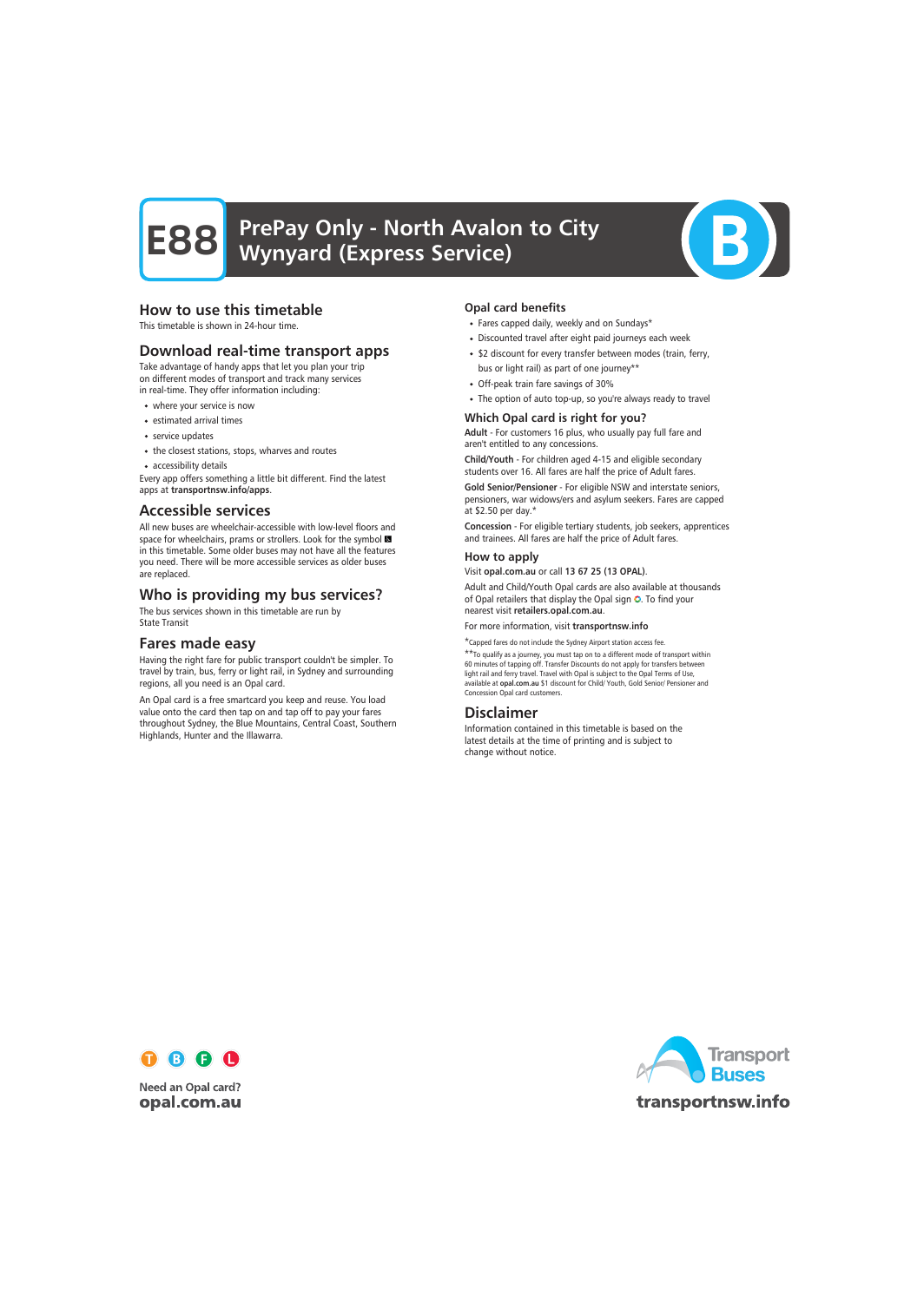

### How to use this timetable

This timetable is shown in 24-hour time.

#### Download real-time transport apps

Take advantage of handy apps that let you plan your trip on different modes of transport and track many services in real-time. They offer information including:

- where your service is now
- estimated arrival times
- service updates
- the closest stations, stops, wharves and routes
- accessibility details

Every app offers something a little bit different. Find the latest apps at transportnsw.info/apps.

#### Accessible services

All new buses are wheelchair-accessible with low-level floors and space for wheelchairs, prams or strollers. Look for the symbol in this timetable. Some older buses may not have all the features you need. There will be more accessible services as older buses are replaced.

#### Who is providing my bus services?

The bus services shown in this timetable are run by State Transit

#### Fares made easy

Having the right fare for public transport couldn't be simpler. To travel by train, bus, ferry or light rail, in Sydney and surrounding regions, all you need is an Opal card.

An Opal card is a free smartcard you keep and reuse. You load value onto the card then tap on and tap off to pay your fares throughout Sydney, the Blue Mountains, Central Coast, Southern Highlands, Hunter and the Illawarra.

#### Opal card benefits

- Fares capped daily, weekly and on Sundays\*
- Discounted travel after eight paid journeys each week
- \$2 discount for every transfer between modes (train, ferry, bus or light rail) as part of one journey\*\*
- Off-peak train fare savings of 30%
- The option of auto top-up, so you're always ready to travel

#### Which Opal card is right for you?

Adult - For customers 16 plus, who usually pay full fare and aren't entitled to any concessions.

Child/Youth - For children aged 4-15 and eligible secondary students over 16. All fares are half the price of Adult fares.

Gold Senior/Pensioner - For eligible NSW and interstate seniors, pensioners, war widows/ers and asylum seekers. Fares are capped at \$2.50 per day.\*

Concession - For eligible tertiary students, job seekers, apprentices and trainees. All fares are half the price of Adult fares.

#### How to apply

Visit opal.com.au or call 13 67 25 (13 OPAL).

Adult and Child/Youth Opal cards are also available at thousands of Opal retailers that display the Opal sign O. To find your nearest visit retailers.opal.com.au.

For more information, visit transportnsw.info

\*Capped fares do not include the Sydney Airport station access fee. \*\*To qualify as a journey, you must tap on to a different mode of transport within

60 minutes of tapping off. Transfer Discounts do not apply for transfers between light rail and ferry travel. Travel with Opal is subject to the Opal Terms of Use, available at opal.com.au \$1 discount for Child/ Youth, Gold Senior/ Pensioner and Concession Opal card customers.

#### Disclaimer

Information contained in this timetable is based on the latest details at the time of printing and is subject to change without notice.



**Need an Opal card?** opal.com.au

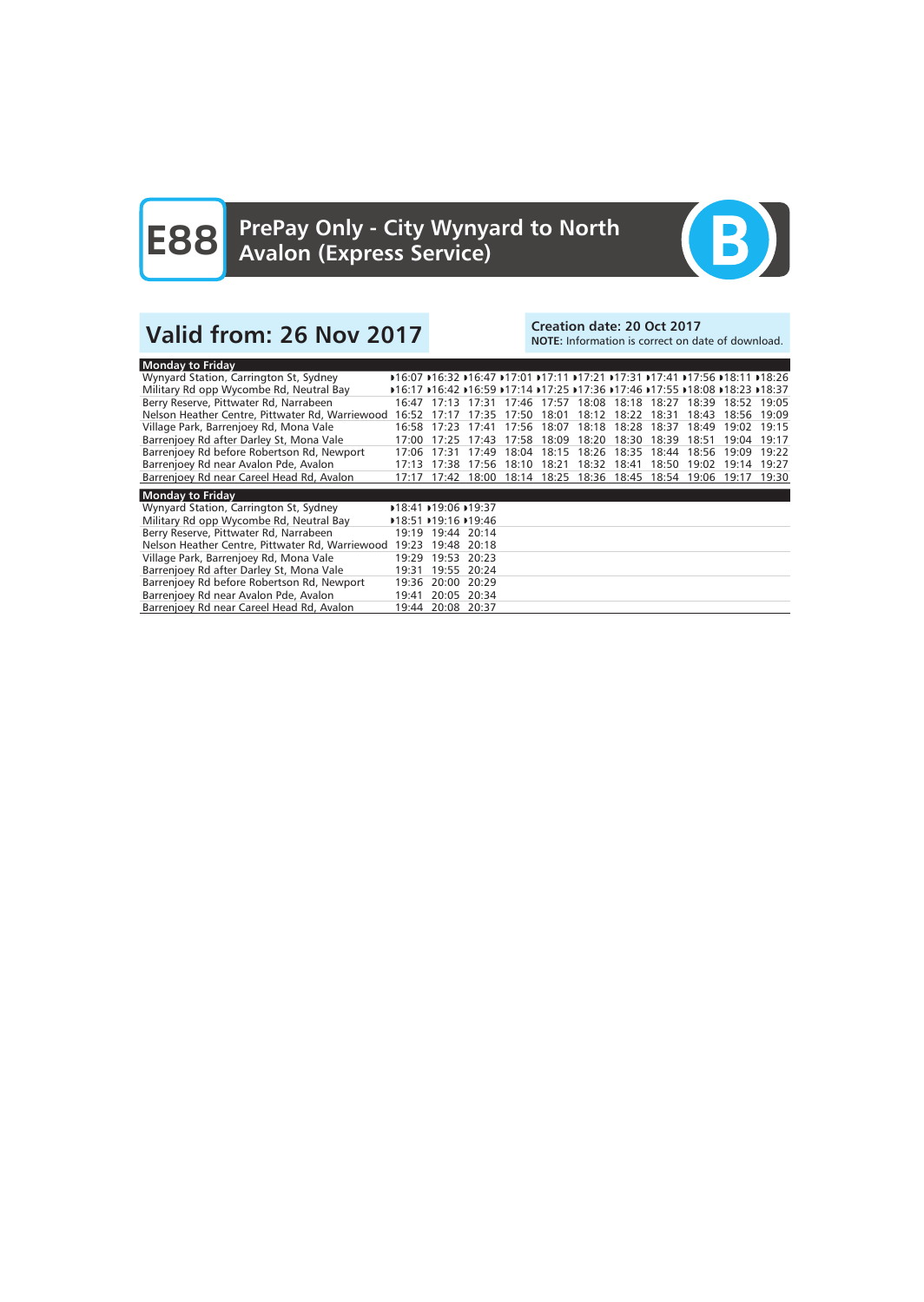

## Valid from: 26 Nov 2017<br>Note: Information is correct on date: 20 Oct 2017

## NOTE: Information is correct on date of download.

| <b>Monday to Friday</b>                         |       |                   |             |       |                   |             |       |                                                                              |             |       |             |
|-------------------------------------------------|-------|-------------------|-------------|-------|-------------------|-------------|-------|------------------------------------------------------------------------------|-------------|-------|-------------|
| Wynyard Station, Carrington St, Sydney          |       |                   |             |       |                   |             |       | D16:07 D16:32 D16:47 D17:01 D17:11 D17:21 D17:31 D17:41 D17:56 D18:11 D18:26 |             |       |             |
| Military Rd opp Wycombe Rd, Neutral Bay         |       |                   |             |       |                   |             |       | D16:17 D16:42 D16:59 D17:14 D17:25 D17:36 D17:46 D17:55 D18:08 D18:23 D18:37 |             |       |             |
| Berry Reserve, Pittwater Rd, Narrabeen          | 16:47 |                   | 17:13 17:31 | 17:46 | 17:57             |             |       | 18:08 18:18 18:27                                                            | 18:39       |       | 18:52 19:05 |
| Nelson Heather Centre, Pittwater Rd, Warriewood | 16:52 | 17.17             | 17.35       | 17.50 | 18:01             | 18:12       | 18:22 | 18:31                                                                        | 18:43       | 18:56 | 19:09       |
| Village Park, Barrenjoey Rd, Mona Vale          | 16:58 | 17:23             | 17:41       | 17:56 | 18:07             | 18:18       | 18:28 | 18:37                                                                        | 18:49       | 19:02 | 19:15       |
| Barrenjoey Rd after Darley St, Mona Vale        | 17:00 | 17:25             | 17:43       | 17:58 | 18:09             | 18:20       | 18:30 | 18:39                                                                        | 18:51       | 19:04 | 19:17       |
| Barrenjoey Rd before Robertson Rd, Newport      | 17:06 | 17:31             | 17:49       | 18:04 |                   | 18:15 18:26 | 18:35 | 18:44                                                                        | 18:56       | 19:09 | 19:22       |
| Barrenjoey Rd near Avalon Pde, Avalon           | 17:13 | 17:38             | 17:56       | 18:10 | 18:21             | 18:32       | 18:41 | 18:50                                                                        | 19:02       | 19:14 | 19:27       |
| Barrenjoey Rd near Careel Head Rd, Avalon       | 17:17 | 17:42             | 18:00       |       | 18:14 18:25 18:36 |             | 18:45 |                                                                              | 18:54 19:06 | 19:17 | 19:30       |
| <b>Monday to Friday</b>                         |       |                   |             |       |                   |             |       |                                                                              |             |       |             |
| Wynyard Station, Carrington St, Sydney          |       | 18:41 19:06 19:37 |             |       |                   |             |       |                                                                              |             |       |             |
| Military Rd opp Wycombe Rd, Neutral Bay         |       | 18:51 19:16 19:46 |             |       |                   |             |       |                                                                              |             |       |             |
| Berry Reserve, Pittwater Rd, Narrabeen          |       | 19:19 19:44 20:14 |             |       |                   |             |       |                                                                              |             |       |             |
| Nelson Heather Centre, Pittwater Rd, Warriewood | 19:23 |                   | 19:48 20:18 |       |                   |             |       |                                                                              |             |       |             |
| Village Park, Barrenjoey Rd, Mona Vale          | 19:29 | 19:53             | 20:23       |       |                   |             |       |                                                                              |             |       |             |
| Barrenjoey Rd after Darley St, Mona Vale        | 19:31 |                   | 19:55 20:24 |       |                   |             |       |                                                                              |             |       |             |
| Barrenjoey Rd before Robertson Rd, Newport      | 19:36 | 20:00             | 20:29       |       |                   |             |       |                                                                              |             |       |             |
| Barrenjoey Rd near Avalon Pde, Avalon           | 19:41 | 20:05             | 20:34       |       |                   |             |       |                                                                              |             |       |             |
| Barrenjoey Rd near Careel Head Rd, Avalon       | 19:44 |                   | 20:08 20:37 |       |                   |             |       |                                                                              |             |       |             |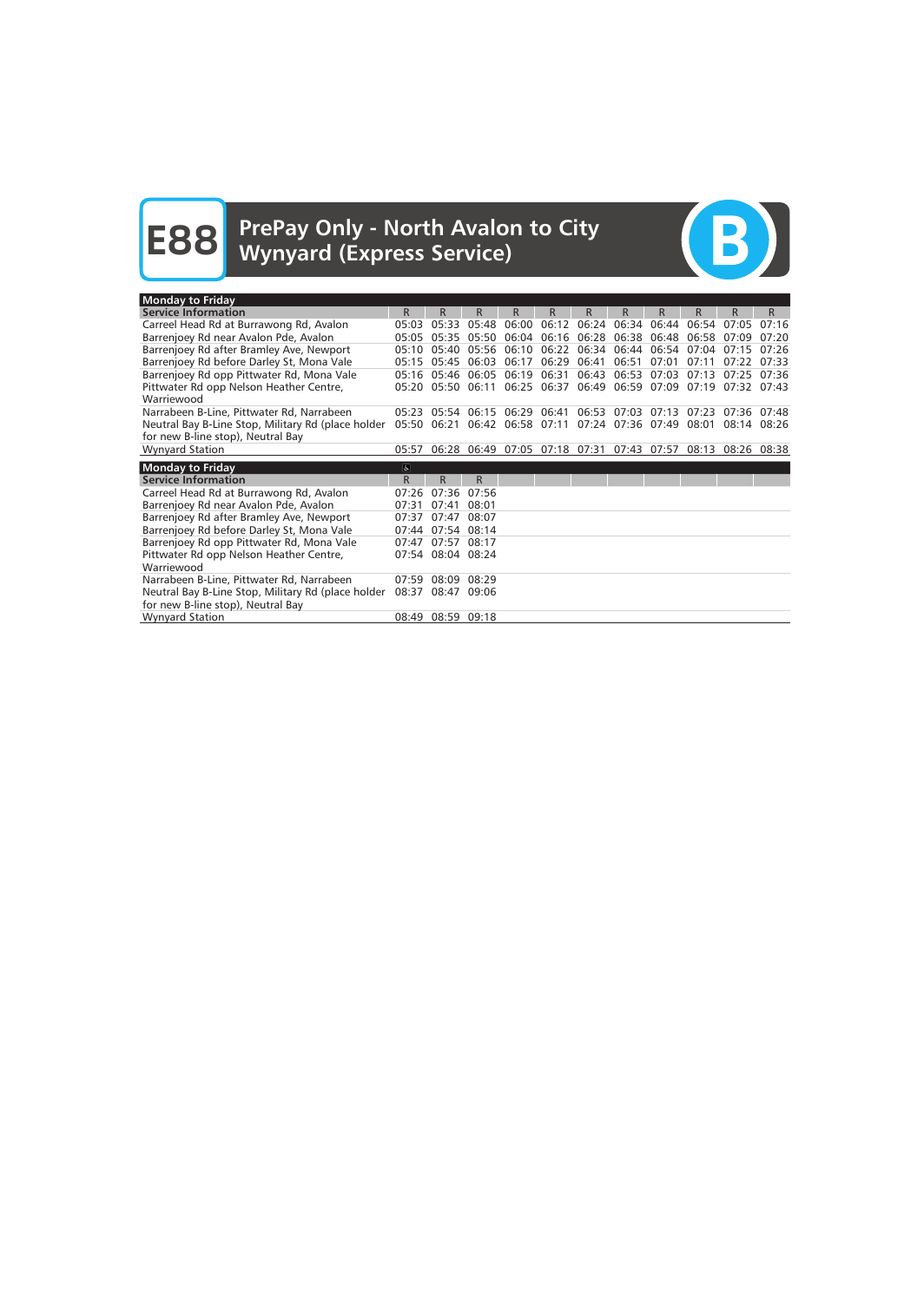# **E88** PrePay Only - North Avalon to City<br>
Wynyard (Express Service)



| <b>Monday to Friday</b>                               |                |                   |       |             |       |       |                                           |                                                                   |                 |                   |       |
|-------------------------------------------------------|----------------|-------------------|-------|-------------|-------|-------|-------------------------------------------|-------------------------------------------------------------------|-----------------|-------------------|-------|
| <b>Service Information</b>                            | R.             | R.                | R.    | R.          | R.    | R.    | R.                                        | R.                                                                | R.              | R                 | R.    |
| Carreel Head Rd at Burrawong Rd, Avalon               | 05:03          | 05:33             | 05:48 | 06:00       | 06:12 |       | 06:24 06:34 06:44                         |                                                                   | $06:54$ $07:05$ |                   | 07:16 |
| Barrenjoey Rd near Avalon Pde, Avalon                 | 05:05          | 05:35 05:50       |       |             |       |       | 06:04 06:16 06:28 06:38 06:48             |                                                                   |                 | 06:58 07:09       | 07:20 |
| Barrenjoey Rd after Bramley Ave, Newport              | 05:10          | 05:40             | 05:56 | 06:10       | 06:22 |       | 06:34 06:44 06:54                         |                                                                   | 07:04           | 07:15             | 07:26 |
| Barrenjoey Rd before Darley St, Mona Vale             |                | 05:15 05:45 06:03 |       | 06:17       | 06:29 | 06:41 | 06:51                                     | 07:01                                                             | 07:11           | $07:22$ $07:33$   |       |
| Barrenjoey Rd opp Pittwater Rd, Mona Vale             |                | 05:16 05:46 06:05 |       | 06:19       | 06:31 | 06:43 | 06:53 07:03                               |                                                                   | 07:13           | $07:25$ $07:36$   |       |
| Pittwater Rd opp Nelson Heather Centre,               |                | 05:20 05:50 06:11 |       |             |       |       |                                           | 06:25 06:37 06:49 06:59 07:09                                     |                 | 07:19 07:32 07:43 |       |
| Warriewood                                            |                |                   |       |             |       |       |                                           |                                                                   |                 |                   |       |
| Narrabeen B-Line, Pittwater Rd, Narrabeen             |                | 05:23 05:54 06:15 |       | 06:29 06:41 |       |       | $06:53$ $07:03$ $07:13$                   |                                                                   |                 | 07:23 07:36 07:48 |       |
| Neutral Bay B-Line Stop, Military Rd (place holder    |                |                   |       |             |       |       |                                           | 05:50 06:21 06:42 06:58 07:11 07:24 07:36 07:49 08:01 08:14 08:26 |                 |                   |       |
| for new B-line stop), Neutral Bay                     |                |                   |       |             |       |       |                                           |                                                                   |                 |                   |       |
| <b>Wynyard Station</b>                                | 05:57          |                   |       |             |       |       | 06:28 06:49 07:05 07:18 07:31 07:43 07:57 |                                                                   |                 | 08:13 08:26 08:38 |       |
|                                                       |                |                   |       |             |       |       |                                           |                                                                   |                 |                   |       |
|                                                       | $\overline{6}$ |                   |       |             |       |       |                                           |                                                                   |                 |                   |       |
| <b>Monday to Friday</b><br><b>Service Information</b> | R              | R                 | R     |             |       |       |                                           |                                                                   |                 |                   |       |
| Carreel Head Rd at Burrawong Rd, Avalon               | 07:26          | 07:36             | 07:56 |             |       |       |                                           |                                                                   |                 |                   |       |
| Barrenjoey Rd near Avalon Pde, Avalon                 | 07:31          | 07:41             | 08:01 |             |       |       |                                           |                                                                   |                 |                   |       |
| Barrenjoey Rd after Bramley Ave, Newport              | 07:37          | 07:47             | 08:07 |             |       |       |                                           |                                                                   |                 |                   |       |
| Barrenjoey Rd before Darley St, Mona Vale             | 07:44          | 07:54 08:14       |       |             |       |       |                                           |                                                                   |                 |                   |       |
| Barrenjoey Rd opp Pittwater Rd, Mona Vale             | 07:47          | 07:57             | 08:17 |             |       |       |                                           |                                                                   |                 |                   |       |
| Pittwater Rd opp Nelson Heather Centre,               |                | 07:54 08:04 08:24 |       |             |       |       |                                           |                                                                   |                 |                   |       |
| Warriewood                                            |                |                   |       |             |       |       |                                           |                                                                   |                 |                   |       |
| Narrabeen B-Line, Pittwater Rd, Narrabeen             | 07:59          | 08:09             | 08:29 |             |       |       |                                           |                                                                   |                 |                   |       |
| Neutral Bay B-Line Stop, Military Rd (place holder    |                | 08:37 08:47 09:06 |       |             |       |       |                                           |                                                                   |                 |                   |       |
| for new B-line stop), Neutral Bay                     |                |                   |       |             |       |       |                                           |                                                                   |                 |                   |       |